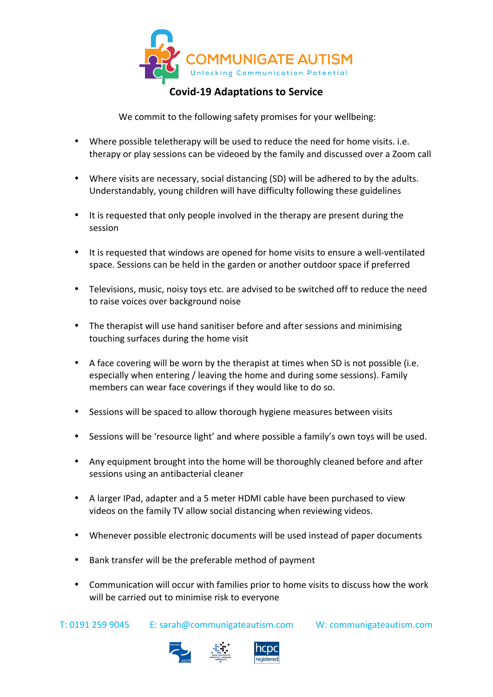

## **Covid-19 Adaptations to Service**

We commit to the following safety promises for your wellbeing:

- Where possible teletherapy will be used to reduce the need for home visits. i.e. therapy or play sessions can be videoed by the family and discussed over a Zoom call
- Where visits are necessary, social distancing (SD) will be adhered to by the adults. Understandably, young children will have difficulty following these guidelines
- It is requested that only people involved in the therapy are present during the session
- It is requested that windows are opened for home visits to ensure a well-ventilated space. Sessions can be held in the garden or another outdoor space if preferred
- Televisions, music, noisy toys etc. are advised to be switched off to reduce the need to raise voices over background noise
- The therapist will use hand sanitiser before and after sessions and minimising touching surfaces during the home visit
- A face covering will be worn by the therapist at times when SD is not possible (i.e. especially when entering / leaving the home and during some sessions). Family members can wear face coverings if they would like to do so.
- Sessions will be spaced to allow thorough hygiene measures between visits
- Sessions will be 'resource light' and where possible a family's own toys will be used.
- Any equipment brought into the home will be thoroughly cleaned before and after sessions using an antibacterial cleaner
- A larger IPad, adapter and a 5 meter HDMI cable have been purchased to view videos on the family TV allow social distancing when reviewing videos.
- Whenever possible electronic documents will be used instead of paper documents
- Bank transfer will be the preferable method of payment
- Communication will occur with families prior to home visits to discuss how the work will be carried out to minimise risk to everyone

T: 0191 259 9045 E: sarah@communigateautism.com W: communigateautism.com